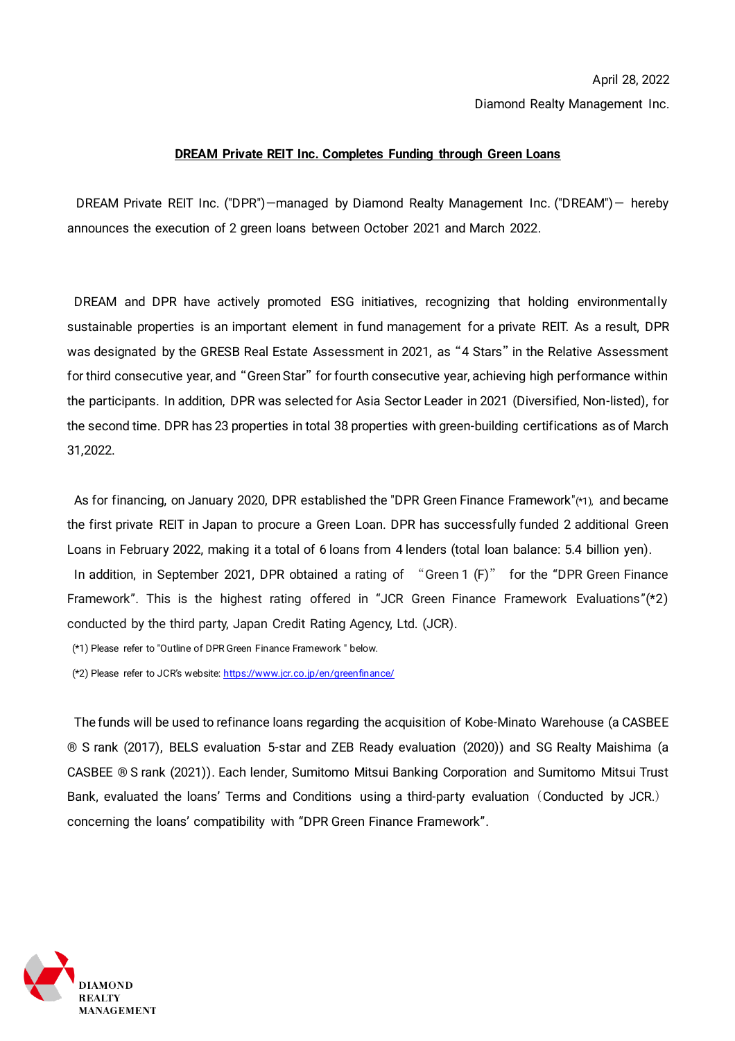Diamond Realty Management Inc.

## **DREAM Private REIT Inc. Completes Funding through Green Loans**

DREAM Private REIT Inc. ("DPR")—managed by Diamond Realty Management Inc. ("DREAM")— hereby announces the execution of 2 green loans between October 2021 and March 2022.

DREAM and DPR have actively promoted ESG initiatives, recognizing that holding environmentally sustainable properties is an important element in fund management for a private REIT. As a result, DPR was designated by the GRESB Real Estate Assessment in 2021, as "4 Stars" in the Relative Assessment for third consecutive year, and "Green Star" for fourth consecutive year, achieving high performance within the participants. In addition, DPR was selected for Asia Sector Leader in 2021 (Diversified, Non-listed), for the second time. DPR has 23 properties in total 38 properties with green-building certifications as of March 31,2022.

As for financing, on January 2020, DPR established the "DPR Green Finance Framework"(\*1), and became the first private REIT in Japan to procure a Green Loan. DPR has successfully funded 2 additional Green Loans in February 2022, making it a total of 6 loans from 4 lenders (total loan balance: 5.4 billion yen). In addition, in September 2021, DPR obtained a rating of "Green 1 (F)" for the "DPR Green Finance Framework". This is the highest rating offered in "JCR Green Finance Framework Evaluations"(\*2) conducted by the third party, Japan Credit Rating Agency, Ltd. (JCR).

(\*1) Please refer to "Outline of DPR Green Finance Framework " below.

(\*2) Please refer to JCR's website[: https://www.jcr.co.jp/en/greenfinance/](https://www.jcr.co.jp/en/greenfinance/)

The funds will be used to refinance loans regarding the acquisition of Kobe-Minato Warehouse (a CASBEE ® S rank (2017), BELS evaluation 5-star and ZEB Ready evaluation (2020)) and SG Realty Maishima (a CASBEE ® S rank (2021)). Each lender, Sumitomo Mitsui Banking Corporation and Sumitomo Mitsui Trust Bank, evaluated the loans' Terms and Conditions using a third-party evaluation (Conducted by JCR.) concerning the loans' compatibility with "DPR Green Finance Framework".

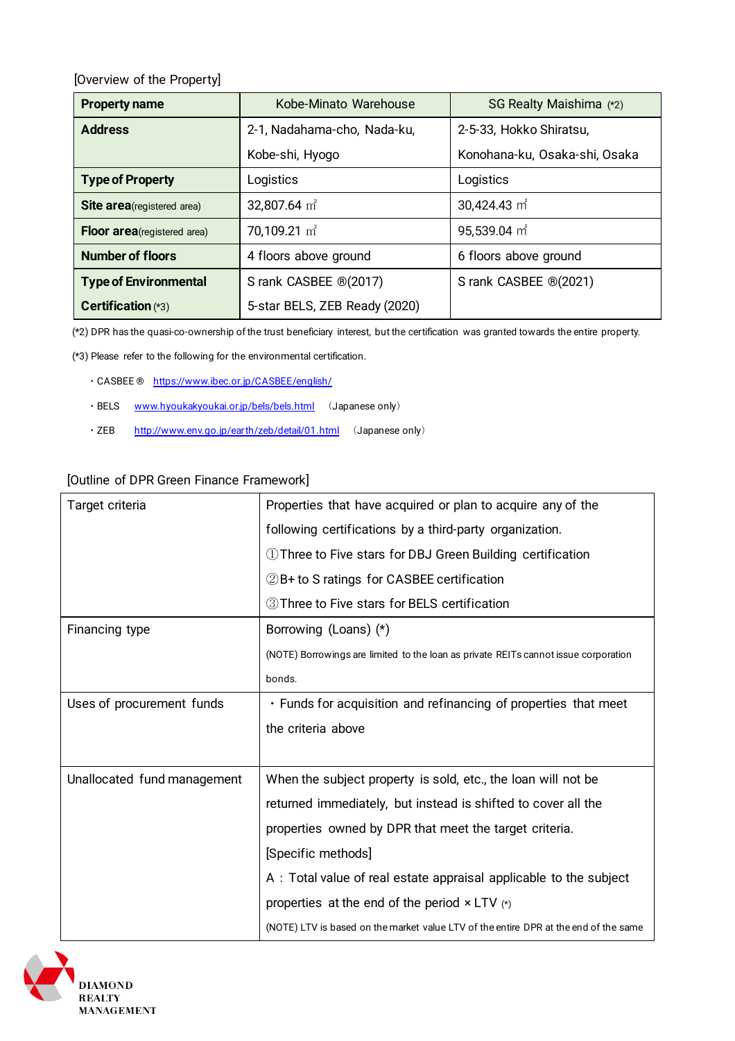[Overview of the Property]

| <b>Property name</b>               | Kobe-Minato Warehouse         | SG Realty Maishima (*2)       |
|------------------------------------|-------------------------------|-------------------------------|
| <b>Address</b>                     | 2-1, Nadahama-cho, Nada-ku,   | 2-5-33, Hokko Shiratsu,       |
|                                    | Kobe-shi, Hyogo               | Konohana-ku, Osaka-shi, Osaka |
| <b>Type of Property</b>            | Logistics                     | Logistics                     |
| <b>Site area</b> (registered area) | 32,807.64 $m2$                | 30,424.43 m <sup>2</sup>      |
| Floor area (registered area)       | 70,109.21 $m^2$               | 95,539.04 m <sup>2</sup>      |
| <b>Number of floors</b>            | 4 floors above ground         | 6 floors above ground         |
| <b>Type of Environmental</b>       | S rank CASBEE ®(2017)         | S rank CASBEE ®(2021)         |
| Certification (*3)                 | 5-star BELS, ZEB Ready (2020) |                               |

(\*2) DPR has the quasi-co-ownership of the trust beneficiary interest, but the certification was granted towards the entire property.

(\*3) Please refer to the following for the environmental certification.

- ・CASBEE ® <https://www.ibec.or.jp/CASBEE/english/>
- ・BELS [www.hyoukakyoukai.or.jp/bels/bels.html](http://www.hyoukakyoukai.or.jp/bels/bels.html) (Japanese only)
- · ZEB <http://www.env.go.jp/earth/zeb/detail/01.html> (Japanese only)

## [Outline of DPR Green Finance Framework]

| Target criteria             | Properties that have acquired or plan to acquire any of the                          |
|-----------------------------|--------------------------------------------------------------------------------------|
|                             | following certifications by a third-party organization.                              |
|                             | 1) Three to Five stars for DBJ Green Building certification                          |
|                             | 2B+ to S ratings for CASBEE certification                                            |
|                             | 3 Three to Five stars for BELS certification                                         |
| Financing type              | Borrowing (Loans) (*)                                                                |
|                             | (NOTE) Borrowings are limited to the loan as private REITs cannot issue corporation  |
|                             | bonds.                                                                               |
| Uses of procurement funds   | . Funds for acquisition and refinancing of properties that meet                      |
|                             | the criteria above                                                                   |
|                             |                                                                                      |
| Unallocated fund management | When the subject property is sold, etc., the loan will not be                        |
|                             | returned immediately, but instead is shifted to cover all the                        |
|                             | properties owned by DPR that meet the target criteria.                               |
|                             | [Specific methods]                                                                   |
|                             | A: Total value of real estate appraisal applicable to the subject                    |
|                             | properties at the end of the period $\times$ LTV $(*)$                               |
|                             | (NOTE) LTV is based on the market value LTV of the entire DPR at the end of the same |